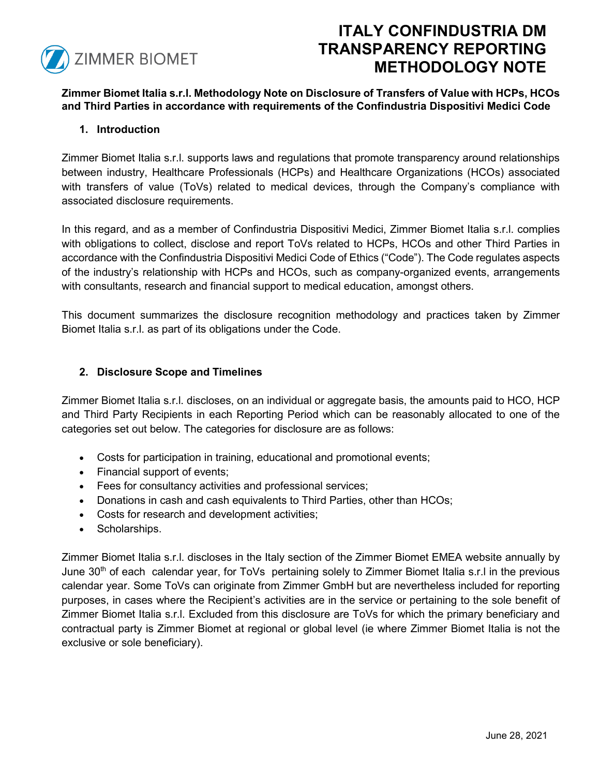

# **ITALY CONFINDUSTRIA DM TRANSPARENCY REPORTING METHODOLOGY NOTE**

**Zimmer Biomet Italia s.r.l. Methodology Note on Disclosure of Transfers of Value with HCPs, HCOs and Third Parties in accordance with requirements of the Confindustria Dispositivi Medici Code**

## **1. Introduction**

Zimmer Biomet Italia s.r.l. supports laws and regulations that promote transparency around relationships between industry, Healthcare Professionals (HCPs) and Healthcare Organizations (HCOs) associated with transfers of value (ToVs) related to medical devices, through the Company's compliance with associated disclosure requirements.

In this regard, and as a member of Confindustria Dispositivi Medici, Zimmer Biomet Italia s.r.l. complies with obligations to collect, disclose and report ToVs related to HCPs, HCOs and other Third Parties in accordance with the Confindustria Dispositivi Medici Code of Ethics ("Code"). The Code regulates aspects of the industry's relationship with HCPs and HCOs, such as company-organized events, arrangements with consultants, research and financial support to medical education, amongst others.

This document summarizes the disclosure recognition methodology and practices taken by Zimmer Biomet Italia s.r.l. as part of its obligations under the Code.

## **2. Disclosure Scope and Timelines**

Zimmer Biomet Italia s.r.l. discloses, on an individual or aggregate basis, the amounts paid to HCO, HCP and Third Party Recipients in each Reporting Period which can be reasonably allocated to one of the categories set out below. The categories for disclosure are as follows:

- Costs for participation in training, educational and promotional events;
- Financial support of events;
- Fees for consultancy activities and professional services;
- Donations in cash and cash equivalents to Third Parties, other than HCOs;
- Costs for research and development activities;
- Scholarships.

Zimmer Biomet Italia s.r.l. discloses in the Italy section of the Zimmer Biomet EMEA website annually by June 30<sup>th</sup> of each calendar year, for ToVs pertaining solely to Zimmer Biomet Italia s.r.l in the previous calendar year. Some ToVs can originate from Zimmer GmbH but are nevertheless included for reporting purposes, in cases where the Recipient's activities are in the service or pertaining to the sole benefit of Zimmer Biomet Italia s.r.l. Excluded from this disclosure are ToVs for which the primary beneficiary and contractual party is Zimmer Biomet at regional or global level (ie where Zimmer Biomet Italia is not the exclusive or sole beneficiary).